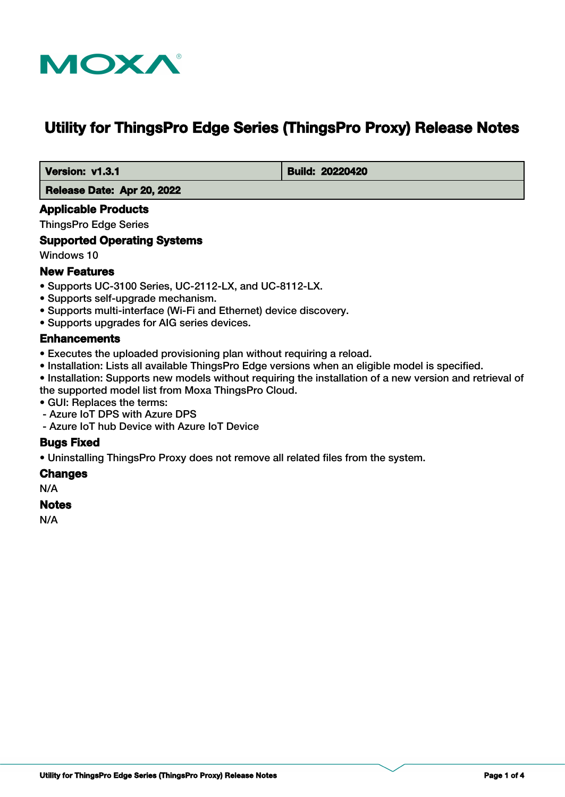

# **Utility for ThingsPro Edge Series (ThingsPro Proxy) Release Notes**

 **Version: v1.3.1 Build: 20220420**

 **Release Date: Apr 20, 2022**

### **Applicable Products**

ThingsPro Edge Series

### **Supported Operating Systems**

Windows 10

## **New Features**

- Supports UC-3100 Series, UC-2112-LX, and UC-8112-LX.
- Supports self-upgrade mechanism.
- Supports multi-interface (Wi-Fi and Ethernet) device discovery.
- Supports upgrades for AIG series devices.

### **Enhancements**

- Executes the uploaded provisioning plan without requiring a reload.
- Installation: Lists all available ThingsPro Edge versions when an eligible model is specified.
- Installation: Supports new models without requiring the installation of a new version and retrieval of the supported model list from Moxa ThingsPro Cloud.
- GUI: Replaces the terms:
- Azure IoT DPS with Azure DPS
- Azure IoT hub Device with Azure IoT Device

## **Bugs Fixed**

• Uninstalling ThingsPro Proxy does not remove all related files from the system.

#### **Changes**

N/A

#### **Notes**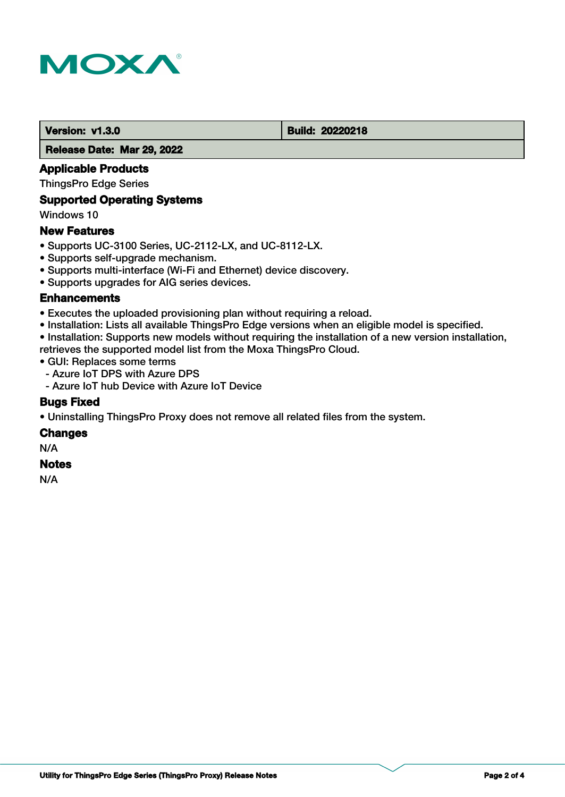

**Version: v1.3.0 Build: 20220218** 

 **Release Date: Mar 29, 2022**

## **Applicable Products**

ThingsPro Edge Series

## **Supported Operating Systems**

Windows 10

### **New Features**

- Supports UC-3100 Series, UC-2112-LX, and UC-8112-LX.
- Supports self-upgrade mechanism.
- Supports multi-interface (Wi-Fi and Ethernet) device discovery.
- Supports upgrades for AIG series devices.

#### **Enhancements**

- Executes the uploaded provisioning plan without requiring a reload.
- Installation: Lists all available ThingsPro Edge versions when an eligible model is specified.
- Installation: Supports new models without requiring the installation of a new version installation,
- retrieves the supported model list from the Moxa ThingsPro Cloud.
- GUI: Replaces some terms
- Azure IoT DPS with Azure DPS
- Azure IoT hub Device with Azure IoT Device

#### **Bugs Fixed**

• Uninstalling ThingsPro Proxy does not remove all related files from the system.

#### **Changes**

N/A

#### **Notes**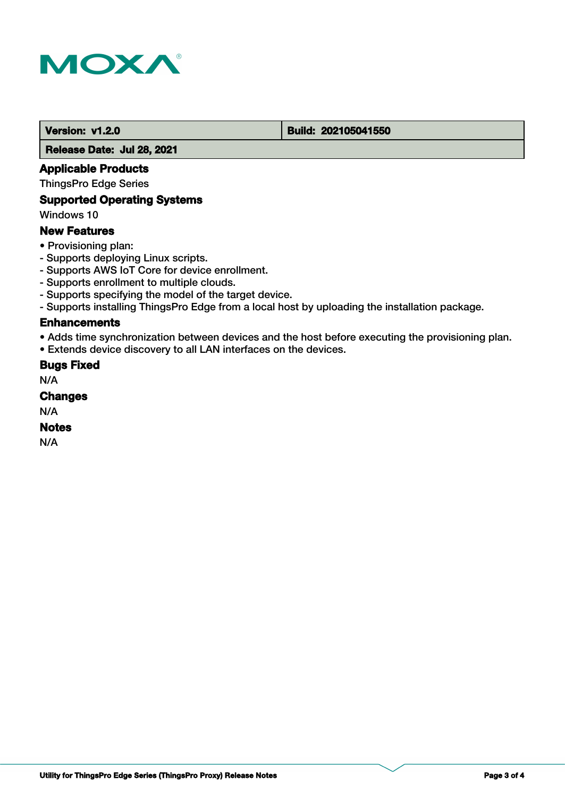

#### **Version: v1.2.0 Build: 202105041550**

 **Release Date: Jul 28, 2021**

### **Applicable Products**

ThingsPro Edge Series

## **Supported Operating Systems**

Windows 10

#### **New Features**

- Provisioning plan:
- Supports deploying Linux scripts.
- Supports AWS IoT Core for device enrollment.
- Supports enrollment to multiple clouds.
- Supports specifying the model of the target device.
- Supports installing ThingsPro Edge from a local host by uploading the installation package.

## **Enhancements**

• Adds time synchronization between devices and the host before executing the provisioning plan.

• Extends device discovery to all LAN interfaces on the devices.

#### **Bugs Fixed**

N/A

## **Changes**

N/A

#### **Notes**